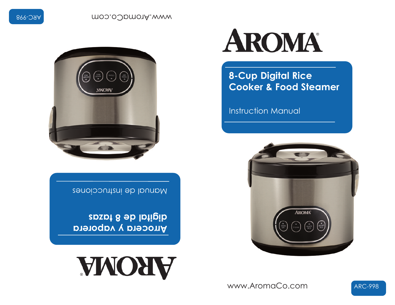www.AromaCo.com



digital de 8 tazas **Arrocera y vaporera** 

Manual de Instrucciones





**ARC-998** 

**Instruction Manual** 

**8-Cup Digital Rice Cooker & Food Steamer** 



moo.oUpmo1A.www

**ARC-998**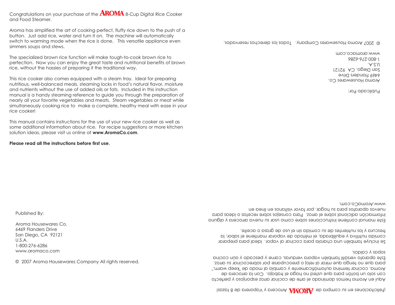itelicitaciones en su compra de AKOMA Arrocera y Vaporera de 8 tazas!

sopipo A spdos Fale abalaro versatil tampien vapora verauras, came y pescado y aun cocina bata dne no tenga dne mirar al reloj o preocnbarse por soprecocinar su arroz. Aroma, cocinar termina autománicamente y cambia al modo de "keep warm," con solo un boton para que usted no haga el trabajo. Con la arrocera de Aqui en Aroma hemos dominado el arte de cocinar arroz esponjoso y perfecto

luescura y los numentes de su comida sin el uso de grasa o acelle. comida nutritiva y equilibrada, el metodo de vaporar mantiene el sabor, la 2e incluye también una charola para cocinar al vapor. Ideal para preparar

.moo.oJpmo1A.www nuevos aparatos para su hogar, por tavor visitanos en linea en intormación adicional sobre el arroz. Para consejos sobre recetas o ideas para F216 wannal contiene instrucciones sobre como naar an uneva arrocera y alguna

This manual contains instructions for the use of your new rice cooker as well as some additional information about rice. For recipe suggestions or more kitchen solution ideas, please visit us online at www.AromaCo.com.

Please read all the instructions before first use.

© 2007 Aroma Housewares Company All rights reserved.

Published By:

1-800-276-6286 www.aromaco.com

 $U.S.A.$ 

Aroma Housewares Co 6469 Flanders Drive

San Diego, CA 92121

This rice cooker also comes equipped with a steam tray. Ideal for preparing nutritious, well-balanced meals, steaming locks in food's natural flavor, moisture and nutrients without the use of added oils or fats. Included in this instruction manual is a handy steaming reference to quide you through the preparation of nearly all your favorite vegetables and meats. Steam vegetables or meat while simultaneously cooking rice to make a complete, healthy meal with ease in your rice cooker!

The specialized brown rice function will make tough-to-cook brown rice to rice, without the hassles of preparing it the traditional way.

perfection. Now you can enjoy the great taste and nutritional benefits of brown

button. Just add rice, water and turn it on. The machine will automatically switch to warming mode when the rice is done. This versatile appliance even simmers soups and stews.

Aroma has simplified the art of cooking perfect, fluffy rice down to the push of a

Congratulations on your purchase of the **AROMA** 8-Cup Digital Rice Cooker and Food Steamer.

© ZUU/ Aroma Housewares Company. Iodos los derecnos reservados.

98Z9-9ZZ-008-1  $.A.S.U$ San Diego, CA 92121 6469 Flanders Drive Aroma Housewares Co.

HUDIICADO POL:

moo.oopmonp.www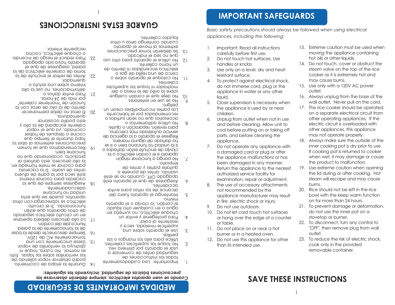## **SAVE THESE INSTRUCTIONS**

- than its intended use.
- 12. Do not use this appliance for other
- 
- 
- 
- 
- 
- 
- 
- 
- 
- -
- 
- burner or in a heated oven.
- 23 To reduce the risk of electric shock
- 
- or table. 11. Do not place on or near a hot
- 
- Do not use outdoors. or hang over the edge of a counter
- 
- 
- 
- 
- 
- 9.
- 
- 
- 10. Do not let cord touch hot surfaces
- 
- 
- 
- 
- 
- appliance manufacturer may result in fire, electric shock or injury. 21. To prevent damage or deformation,
- 8. The use of accessory attachments 20. Rice should not be left in the rice not recommended by the
- the product to malfunction. 19. Use extreme caution when opening the lid during or after cooking. Hot steam will escape and may cause examination, repair or adjustment. burns.

**IMPORTANT SAFEGUARDS** 

appliances, including the following:

carefully before first use.

handles or knobs

resistant surface.

liquid.

children.

Important: Read all instructions

Do not touch hot surfaces. Use

4. To protect against electrical shock,

do not immerse cord, plug or the

Close supervision is necessary when

appliance in water or any other

the appliance is used by or near

 $\mathbf{1}$ .

 $2<sup>1</sup>$ 

5.

.S.

 $\cdot$ 6

٠8.

.`∠

 $\cdot$ 9

.G.

. ⊅.

.ε

۲.

ΠL

Basic safety precautions should always be followed when using electrical

GUARDE ESTAS INSTRUCCIONES

72'

recipiente interior.

quemador.

21. Para evitar daños o

dnemaduras.

tuncione pien.

por más de 24 horas.

o cuodne ejectrico, cociua

23. Para reducir el riesgo de incendio

aparato haya sido apagado.

toma de corriente eléctrica de la

Antes de retirar el enchute de la

baueg' azeânueze ge dne ej

o plutes puu esdos punetri

20. El arroz no debe permanecer

eato podria ocasionar

deformaciones, no use la olla

"etneiloo temantener caliente"

caliente escapará de la olla y

cociuago<sup>,</sup> ya dne ej vapor

cocine o qezbnez qe yaper

tapa durant le striptio que

19. Recomendamos que se tomen

brecauciones extremas al aprir la

blogucto, ocasionando que no

la olla arrocera, esto danara al

antes de usarla. Si la cacerola

cacerola para cocinar interna

abaiatos, puede ser que esta

tuncionando. Si el circuito

de otros aparatos que estén

17. La olla arrocera deberá operarse

Nunca jale del cordón.

15. Usese únicamente con una

eléctrico se sobrecarga con otros

en un circuito electrico separado

de la tomacorriente de la pared.

obstruya la ventanilla de vapor.

las ventanillas sobre las tapas. Esto

podra observar vapor saliendo de

es normal. No cubra, toque ni

14. Durante la etapa de cocimiento,

16. Siempre desconecte desde la base

.V0S1 əb ƏA ətnəmoopmot

18. Asegúrese siempre de que la

adecuadamente.

**Audiority** on bubling

este seca por la parte de atuera

para cocinar se mete húmeda en

dentro de la olla de arroz con la

liquidos calientes.

un horno caliente.

calientes.

pellaro<sup>.</sup>

.ohpiqmil

accidentes.

**OUUSILU** 

perilias.

cuando contenga arros u otros extremas al mover el aparato

No utilice el aparato para otro uso

electrica encendidas in dentro de

mostrador ni toque las superticies

raz bayez iyoowbaynez cleav nu

recomendados por el tabricante.

a copitive noss on supersons o

para revisión, reparación o ajuste.

SEIVICIO QUÍOIIZADA MAS CEICANO,

pa qanado de alguna manera.

kedieze el abaiato a la agencia de

as is a uaid publour on bobinu bi is

aparato si el cordon electrico o la

ate se on obnous , HO obagaque

Asegurese de que el aparato este

alcance ae los uluos bara evitar

Mantenga el aparato tuera del

el cordon, la clavija o el aparato

adna o eu cnaidnier otro lidnigo

cuodne electrico, no sumerja en

Utilice para ello los mangos o las

No todue las suberticies calientes.

usar el aparato por primera vez.

reguridad antes de comenzar a

limportante: Lea cuidadosamente

brecancioues pasicas qe sednugaq' incluyendo las siguientes: Cuando se usen aparatos electricos, siempre deberan observarse las

**MEDIDAS IMPORTANTES DE SEGURIDAD** 

**Para protegerse y evitar un** 

anbeuticle uivelada, seca y

Use el aparato sobre una

todas las instrucciones de

resistente al calor.

Ino bouda a tuncionar ningun

o aliendo, antes de ponerle o

doutarie partes y antes de

clavija de encunte estan danados o

sopre la orilla de la mesa o del

13. Se deberan tomar precauciones

ceica qe nua relilia qe daz o

11. No coloque el aparato sobre o

10' No deje que el cordon cuelque

No se use en exteriores.

No utilice aditamentos o

dne uo zea el lugicago.

- appliance. 7. Do not operate any appliance with a damaged cord or plug or after the appliance malfunctions or has been damaged in any manner. Return the appliance to the nearest authorized service facility for
- 6. Unplug from outlet when not in use and before cleaning. Allow unit to cool before putting on or taking off parts, and before cleaning the inner cooking pot is dry prior to use. If cooking pot is returned to cooker when wet, it may damage or cause
- on a separate electrical circuit from other operating appliances. If the electric circuit is overloaded with other appliances, this appliance may not operate properly. 18. Always make sure the outside of the

bowl with the keep warm function

on for more than 24 hours.

stovetop or burner.

outlet.

do not use the inner pot on a

22. To disconnect, turn any control to

cook only in the provided

removable container.

"OFF", then remove plug from wall

- wall outlet. Never pull on the cord. 17. The rice cooker should be operated
- outlet.
- 
- 
- may cause burns.
- 
- 
- 
- 
- 
- 
- 
- 
- 15. Use only with a 120V AC power
- 16. Always unplug from the base of the
- 
- 
- 
- 

# cooker as it is extremely hot and

# 3. Use only on a level, dry and heat-

- hot oils or other liquids. 14. Do not touch, cover or obstruct the steam valve on the top of the rice
- 13. Extreme caution must be used when moving the appliance containing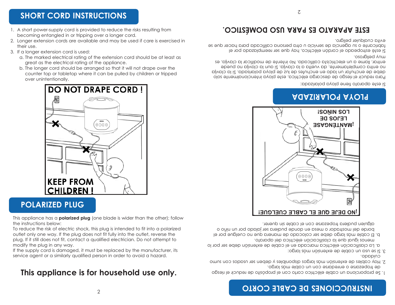## **INSTRUCCIONES DE CABLE CORTO**

- de tropezarse o enredarse con un cable mas largo. l. Se proporciona un cable eléctrico corto con el propósito de reducir el riesgo
- culdddo. S. Hay cables de extension mas largos disponibles y deben ser usados con sumo
- 3. Si se usa un cable de extensión mas largo:
- menos igual que la clasificación eléctrica del aparato. a. La clasificación eléctrica marcada en el cable de extensión debe ser por lo
- alguien pudiera tropezarse con el cable sin querer. porde del mostrador o mesa en donde pudiera ser jalado por un nino o p: FI caple was jarão gepe ser cojocago ge wavera dhe vo chejâne bor el



## **AGASIAAJOY AYOJY**

21 ezte abarato tiene ploya polarizada:

muy peligroso. entrar, llame a un electricista calificada. No intente de moditicar la clavija, es no entra completamente, da vuelta a la clavija. Si aun la clavija no puede gepe ge eucuntar un lago en eucuntez ge laz ge bloya polarizaga: a la clavija Para reducir el riesgo de descarga eléctrica, este ploya intencionalmente solo

evita cualquier peligro. tabricante o su agencia de servicio u otra persona caliticada para hacer que se Si este estropeado el cordon electrico, hay que ser reemplazado por el

## **COITE APARATO ES PARA USO DOMÉSTICO.**

## **SHORT CORD INSTRUCTIONS**

3. If a longer extension cord is used:

over unintentionally.

屑

- 1. A short power-supply cord is provided to reduce the risks resulting from becoming entangled in or tripping over a longer cord.
- 2. Longer extension cords are available and may be used if care is exercised in their use.

a. The marked electrical rating of the extension cord should be at least as

counter top or tabletop where it can be pulled by children or tripped

⌒➠

b. The longer cord should be arranged so that it will not drape over the

**DO NOT DRAPE CORD!** 

- 
- 
- 

great as the electrical rating of the appliance.

**KEEP FROM CHILDREN!** 

**POLARIZED PLUG** 

the instructions below:

modify the plug in any way.

This appliance is for household use only.

This appliance has a **polarized plug** (one blade is wider than the other); follow

To reduce the risk of electric shock, this plug is intended to fit into a polarized

outlet only one way. If the plug does not fit fully into the outlet, reverse the

plug. If it still does not fit, contact a qualified electrician. Do not attempt to

If the supply cord is damaged, it must be replaced by the manufacturer, its

service agent or a similarly qualified person in order to avoid a hazard.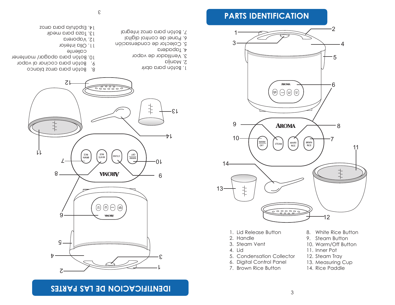## **IDENIILICACION DE TV2 PARTES**



9. Botón para cocinar al vapor

 $13.$  Taza para medir 14. Espátula para arroz

> caliente roitetni pllO. I I 12. Vaporera

10. Botón para apagar/ mantener

- 
- 
- 
- 
- 
- 
- 
- 
- 
- 
- 
- 
- 
- 
- 8. Botón para arroz blanco
	-
- 
- 
- 
- 1. Botón para abrir
- 
- 
- 
- 2. Manija
- 
- 
- 
- 
- 
- 
- 
- 
- 

 $-51$ 

.<br>ተ

- 
- 
- 
- 3. Ventilador de vapor
- 4. Tapadera
- 5. Colector de condensación
- 
- 6. Panel de control digital 7. Botón para arroz integral
- 

1. Lid Release Button

5. Condensation Collector 6. Digital Control Panel 7. Brown Rice Button

WARM<br>OFF

2. Handle 3. Steam Vent

4. Lid

10

13

14

8. White Rice Button

5

6

7

11

10. Warm/Off Button

9. Steam Button

11. Inner Pot

丰  $\ddagger$ 12

BRWN<br>RICE

- 12. Steam Tray 13. Measuring Cup
- 14. Rice Paddle

**PARTS IDENTIFICATION**

 $1$   $2$   $2$   $2$ 

 $3 \rightarrow 4$ 

 $9 \longrightarrow \longrightarrow \longrightarrow \longrightarrow \longrightarrow \longrightarrow \longrightarrow$ 

STEAM

WHITE<br>RICE

**AROMA** 

 $\underbrace{\begin{pmatrix} \text{weak} \\ \text{off} \end{pmatrix}}_{\text{GPE}} \quad \begin{pmatrix} \text{sym} \\ \text{STE} \\ \text{BCE} \end{pmatrix}_{\text{GPE}} \quad \begin{pmatrix} \text{SSWW} \\ \text{BCE} \\ \text{BCE} \end{pmatrix}$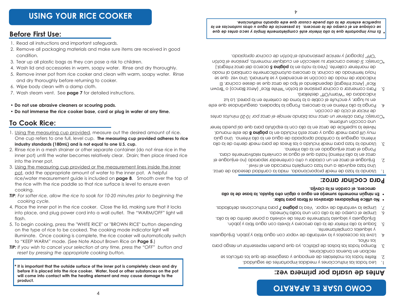## **OT AR AP ALE R ASU OMOC**

## **: z ev ar <sup>e</sup> mir pr op alr as <sup>u</sup> eds et nA**

- 
- . Lea todas las instrucciones y medidan raphorment de seguridad.
- 5. Retire todos los materiales de empaque y asegurese de que los articulos se
- recipau eu pneuaz cougiciouez.
- 3. Kompa todas las bolsas de plastico, ya que pueden representar un riesgo para souiu sol
- s rangi nevel pair accessoujos  $\lambda$  ja veu pulaujija qe vabol cou adna tipia  $\lambda$  japou: Enjinadnejos . et ne los combletamente.
- 5. Saque la olla interior de la olla arrocera y lávela con agua tibia y jabón. Enjuáguela y séquela totalmente antes de volverla a poner dentro de la olla.
- <sup>6</sup>. Limple el cuerpo de la olla con una toalla humeda.
- 7. Limpie la ventanilla de vapor. Vea la **página 7** para instrucciones detalladas.
- **.r all at ar aps ar bif i ns ovi <sup>s</sup> ar bas er odai p mil ecilit <sup>u</sup> oN •**
- . En ningun momento sumerja en agua o algun otro liquido, la base de la olla **. aji val <sup>c</sup> al i n nódr ocl <sup>e</sup>, ar ecorr <sup>a</sup>**

## *A* **cociudid alloz:**

- Usando la taza de medir proporcionada, mida la cantidad deseada de arroz.
- . I evin a fazi e quivale a una taza completa marcada en el nivel 5. Enjinadne el allos en un colador u otro contenedor separado (no enjuague el arros eu la olla interna) hasta que el agua se convierta relativamente clara.
- konga ei alroz enjuagado en la olla interna.  $3.$  Usando la taza para medir incluida o las lineas de para medir dentro de la olla jujewa<sup>,</sup> adredne ja caujigag abrobjaga ge adna eu ja ojja iujewa<sup>.</sup> Una guja wh n.jil para medir agua y arroz esta incluida en la **pagina 8** de este manual. r ene la subeuticie de arroz en la olla con la espatula para que así pueda tener . emiotimu noiboco pnu
- "Consejo: Para obtener un arroz mas blando remoje el arroz por 10-20 minutos antes *. nói ccoc ed ol ci cl er ai ci ni ed*
- $\mathcal{F}$ . Ponga la olla interna en la arrocera. Ponga la tapadera, asegurandose que este eu an Indar, y enchute el cable a la toma de comente en la pared. La luz . indicadora de "Warm/Ott" destellara.
- 5. Para comenzar a cocinar presione el botón "White Rice" (Arroz Blanco) o "Brown kice" (Arroz Integral) dependiendo el tipo de arroz que se desee cocinar. El iudicador de modo de cocciou se encendera  $\lambda$  se inuminara: Una vez que se haya terminado de cocinar, la arrocera automáticamente cambiará al modo de mantener callente. (Vea la nota en la **pagina 5** acerca del arroz integral.) «Consejo: 3i desea cancejar su selección en cualquier momento, presione el botón "OFF" (apagar) y reinicie presionando el botón de cocinar apropiado.

Es muy importante que la olla interior esté completamente limpia y seca antes de que se colodue en el cuerpo de la arrocera. La presencia de agua u otras sustancias en la superficie exterior de la olla puede causar que este aparato malfuncione.

 $\frac{1}{\sqrt{2}}$ 

## **Before First Use:**

**To Cook Rice:**

into the inner pot.

*cooking cycle.*

cooking.

flash

**product.**

1. Read all instructions and important safeguards.

and dry thoroughly before returning to cooker.

• **Do not use abrasive cleaners or scouring pads.**

7. Wash steam vent. See **page 7** for detailed instructions.

**industry standards (180mL) and is not equal to one U.S. cup.**

6. Wipe body clean with a damp cloth.

- 2. Remove all packaging materials and make sure items are received in good
- condition.
- 
- 
- 4. Wash lid and accessories in warm, soapy water. Rinse and dry thoroughly.
- 
- 
- 
- 
- 
- 
- 

## 3. Tear up all plastic bags as they can pose a risk to children.

• **Do not immerse the rice cooker base, cord or plug in water at any time.**

1. Using the measuring cup provided, measure out the desired amount of rice. One cup refers to one full, level cup. **The measuring cup provided adheres to rice**

2. Rinse rice in a mesh strainer or other separate container (do not rinse rice in the inner pot) until the water becomes relatively clear. Drain; then place rinsed rice

3. Using the measuring cup provided or the measurement lines inside the inner pot, add the appropriate amount of water to the inner pot. A helpful

the rice with the rice paddle so that rice surface is level to ensure even

*TIP: For softer rice, allow the rice to soak for 10-20 minutes prior to beginning the*

4. Place the inner pot in the rice cooker. Close the lid, making sure that it locks into place, and plug power cord into a wall outlet. The "WARM/OFF" light will

5. To begin cooking, press the "WHITE RICE" or "BROWN RICE" button depending on the type of rice to be cooked. The cooking mode indicator light will

*TIP: If you wish to cancel your selection at any time, press the "OFF" button and*

**\* It is important that the outside surface of the inner pot is completely clean and dry before it is placed into the rice cooker. Water, food or other substances on the pot will come into contact with the heating element and may cause damage to the**

to "KEEP WARM" mode. (See Note About Brown Rice on **Page 5**.)

*reset by pressing the appropriate cooking button.*

illuminate. Once cooking is complete, the rice cooker will automatically switch

rice/water measurement guide is included on **page 8**. Smooth over the top of

- 
- 
- 

5. Remove inner pot from rice cooker and clean with warm, soapy water. Rinse

4

- 
- 
- 
-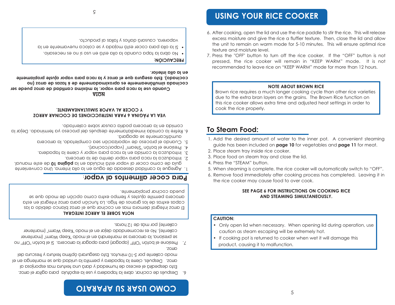## **OT AR AP A US R ASU OMOC**

- 6. Después de cocinar, abre la tapadera y use la espatula para agitar el arroz. Fato despedira el exceso de humedad y dara una textura mas esponjosa al al extens eur pes eux entre la tapadera y permita la unidad que se mantenga en el l upordo callente por  $5$ -IO minutos. Esto asegurara optima textura y trescura del .zonp
- on "HO" nótod le i2 . aneorra la ragar) par appagar la arrocera. Si el botón "OFF" no re bresiona, la arrocera se mantendra en el modo "Keep Warm" (mantener calleute). No es recomendado dejar en el modo "Keep Warm" (mantener caliente) por màs de 12 horas.

### **ROBBLE ET PERBOS INTEGRAL**

El allocs integral demora mas en cocinar que el alroz blanco debido a las capas extras de los granos de trigo. La tuncion para arroz integral en esta art of open med not all a med op the setted como opciou de modo que se bnega cociuar propiamente.

### **b** and **decomagner dimentos al** vapor

- I. Agregue la cantidad deseada de agua en la olla interna. Una conveniente ania qe cowo cocel al vabol esta inciniga eu ja **baâlua 10** de este wannaj<sup>.</sup>
- . The artic all a race para vapor dentro de la arrocera.
- $3.$  Introduzca la comida en la raca para vapor y cierre la tapadera.
- 4. Presione el boton "Steam" (vapor/cocinar).
- a. Cuando el proceso de vaporizacion sea completado, la arrocera anwaticamente se abagara.
- e. Ketire la comida inmediatamente despues del proceso ya terminado. Dejar la comida en la arrocera podria causar sobre calentado.

### **Z ORR AR ANI COCE DSE NOI CCURTS NI AR AP 6 ANI GÁP AL AE V T COCER AL VAPOR SIMULTANEAMENTE.**

### **AT ON**

Cuando use la raca para vapor, la maxima cantidad de arroz puede ser cocinada simultáneamente es aproximadamente de 6 tazas de arroz (no cociuado). Esto asegura que el arroz y la raca para vapor ajuste propiamente **.r oir et ni all o al ne**

### **PRECAUCION:**

- . No abra la tapa cuando la olla està en uso si no es necesario.
- $\bullet$  2! Ia olla para cocer está mojada y se coloca nuevamente en la
- vaporera, causara danos y tallas al producto.

## • If cooking pot is returned to cooker when wet it will damage this product, causing it to malfunction.

**CAUTION:** • Only open lid when necessary. When opening lid during operation, use caution as steam escaping will be extremely hot.

5

### **SEE PAGE 6 FOR INSTRUCTIONS ON COOKING RICE AND STEAMING SIMULTANEOUSLY.**

- 6. Remove food immediately after cooking process has completed. Leaving it in the rice cooker may cause food to over cook.
- 5. When steaming is complete, the rice cooker will automatically switch to "OFF".
- 4. Press the "STEAM" button.
- 3. Place food on steam tray and close the lid.
- 2. Place steam tray inside rice cooker.
- 1. Add the desired amount of water to the inner pot. A convenient steaming guide has been included on **page 10** for vegetables and **page 11** for meat.

## **To Steam Food:**

Brown rice requires a much longer cooking cycle than other rice varieties due to the extra bran layers on the grains. The Brown Rice function on this rice cooker allows extra time and adjusted heat settings in order to cook the rice properly.

### **NOTE ABOUT BROWN RICE**

- 7. Press the "OFF" button to turn off the rice cooker. If the "OFF" button is not pressed, the rice cooker will remain in "KEEP WARM" mode. It is not recommended to leave rice on "KEEP WARM" mode for more than 12 hours.
- 6. After cooking, open the lid and use the rice paddle to stir the rice. This will release excess moisture and give the rice a fluffier texture. Then, close the lid and allow the unit to remain on warm mode for 5-10 minutes. This will ensure optimal rice texture and moisture level.

# **USING YOUR RICE COOKER**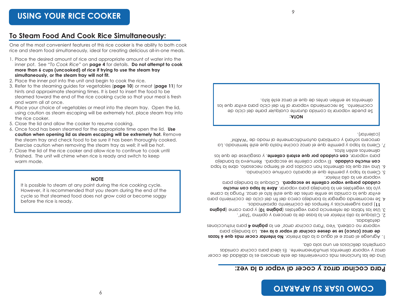## **: z ev al ar opavl ar ecoc y z orr ar ani coc ar aP**

Una de las tunciones mas convenientes de este arrocera es la abilidad de cocer arror y vaporar alimentos simultáneamente. Es ideal para cocinar comidas completos deliciosos en una sola olla.

- **i** *Agruege et anoze et algua a la cita product. No intentar cocer mas que 6 tazas* ar ap aj ednab aL **. z ev al ar opavl ar ani coc ees ed es es ) ocur c( z orr <sup>a</sup> ed** vaporar no cabera. Vea 'Para cocinar arroz' en la **pagina 4** para instrucciones .abbllateds.
- $\sim$  Colodue la olia interior en la base de la arrocera y optima 'start'.
- and **and all applies** de referencia para vegetales (**pagina 10**) y para came (**pagina**
- . **11** para sugerencias y tiempos de cocimiento aproximados.  $+$  26 recomienda agregar la bandeja cerca del  $\uparrow$ ni del ciclo de cocimiento para evitar que la comida se entrie antes de que esté listo el arroz. Ponga la carne **y/o las vegetales en la bandeja para vaporar. Abre la tapa con mucho** cnigago bordne vabor caliente se escabara. Colodne la bandela bara
- vaporar en la olla interior. . Cierra la tapa y permite que el aparato continue cocinando.
- apat plays open op meitle and solid cocidos por el fiempo necesario, abre la tapa cou uncuo cniqaqo: Fi vapor caliente se escabala: Kemueva la bandeja bata *Nabolati*</sub> con cnigago bot dne estata caliente, y asegurese de que los . and is other listos.
- $\vee$ . Clerra la tapa y permite que el arroz cocine hasta que este terminado. La arrocera soñará y cambiará automáticamente al modo de 'WARM'  $|CQ| \geq 0$

### **: AT ON**

ze bnege vaborar la comida durante cualquier parte del ciclo de cocimiento. Se recomienda vaporar al fin del ciclo para evitar que los otsil étse somo le euq es estra neirthe es sotremilo.

One of the most convenient features of this rice cooker is the ability to both cook

inner pot. See "*To Cook Rice"* on **page 4** for details. **Do not attempt to cook more than 6 cups (uncooked) of rice if trying to use the steam tray simultaneously, or the steam tray will not fit.**

3. Refer to the steaming guides for vegetables (**page 10**) or meat (**page 11**) for hints and approximate steaming times. It is best to insert the food to be steamed toward the end of the rice cooking cycle so that your meal is fresh

4. Place your choice of vegetables or meat into the steam tray. Open the lid, using caution as steam escaping will be extremely hot, place steam tray into

6. Once food has been steamed for the appropriate time open the lid. **Use caution when opening lid as steam escaping will be extremely hot.** Remove the steam tray and check food to be sure it has been thoroughly cooked. Exercise caution when removing the steam tray as well; it will be hot. 7. Close the lid of the rice cooker and allow rice to continue to cook until finished. The unit will chime when rice is ready and switch to keep

**NOTE** It is possible to steam at any point during the rice cooking cycle. However, it is recommended that you steam during the end of the cycle so that steamed food does not grow cold or become soggy

6

- 1. Place the desired amount of rice and appropriate amount of water into the
- rice and steam food simultaneously, ideal for creating delicious all-in-one meals.

2. Place the inner pot into the unit and begin to cook the rice.

5. Close the lid and allow the cooker to resume cooking.

and warm all at once.

the rice cooker.

warm mode.

before the rice is ready.

6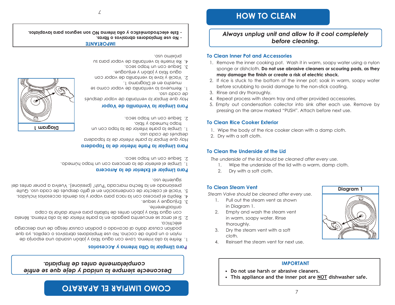## **OTASAYA JE SANGU OMOO**

## completamente antes de limpiaria. Descouecte siempre la unidad y deje que se entrie

### Para Llimpiar la Olla Interna y Accesorios

- boquau canzal qauo aj acanago o boquau canzal uezão qe nua gezcalãa ulyou o nu bauo qe cociua: No nze jiwbiaqoiez apiazivoz o cebijjoz<sup>,</sup> ya dne 1. Refire la olla interna. Lave con agua tibia y jabòn usando una esponja de
- con agua tipia y jabon antes de tallarla para evitar danar la capa 2. Si el arros se encuentra pegado en la parte interior de la olla interna, llènela electrica.
- annadnerente.
- 3. Enjuague y seque.
- 4' keblia el bloceso con la raca para vabor y los demas accesorios incinidos.
- persionado en la tlecha marcada "Push" (presione). Vuelva a poner antes del 5. Vacie el colector de condensación en el grito después de cada uso. Quite

Diagram 1

rosn asuannos

 $\angle$ 

- tste electrodomestico y olla interna NO son seguros para lavaplatos.

**IMPORIANIE** 

### Para Limpiar el Exterior de la Arrocera

- I. Limple el exterior de la arrocera con un trapo humedo.
- 2. Seque con un trapo seco.

## Para Limpiar la Parte Interior de la Tapadera

## Hay que limpiar la parte interior de la tapadera

aezbnez qe caqa nzo<sup>.</sup>

proximo uso.

ae caga nzo<sup>.</sup>

**HOW TO CLEAN** 

**To Clean Inner Pot and Accessories** 

3. Rinse and dry thoroughly.

**To Clean Rice Cooker Exterior** 

To Clean the Underside of the Lid

Dry with a soft cloth.

Steam Valve should be cleaned after every use.

1. Pull out the steam vent as shown

2. Empty and wash the steam vent

in warm, soapy water, Rinse

Dry the steam vent with a soft

Reinsert the steam vent for next use.

• Do not use harsh or abrasive cleaners.

2. Dry with a soft cloth.

 $\mathcal{P}$ 

 $3<sub>1</sub>$ 

 $\mathbf{\Delta}$ 

**To Clean Steam Vent** 

in Diaaram 1.

thoroughly.

cloth.

Always unplug unit and allow to it cool completely

before cleaning.

1. Remove the inner cooking pot. Wash it in warm, soapy water using a nylon

2. If rice is stuck to the bottom of the inner pot; soak in warm, soapy water

5. Empty out condensation collector into sink after each use. Remove by

may damage the finish or create a risk of electric shock.

before scrubbing to avoid damage to the non-stick coating.

4. Repeat process with steam tray and other provided accessories.

pressing on the arrow marked "PUSH". Attach before next use.

1. Wipe the body of the rice cooker clean with a damp cloth.

The underside of the lid should be cleaned after every use.

1. Wipe the underside of the lid with a warm, damp cloth.

**IMPORTANT** 

• This appliance and the inner pot are NOT dishwasher safe.

 $\overline{7}$ 

Diagram 1

sponge or dishcloth. Do not use abrasive cleaners or scouring pads, as they

- 1. Limpie la parte interior de la tapa con un
- z. Seque con un trapo seco. trapo humedo y tibio.

### Hay que limpiar la ventanilla de vapor despues

## Para Limpiar la Ventanilla de Vapor

1. Remueva la ventanilla de vapor como se

- No use limpiadores aprasivos o fibras.

4. Re inserte la ventanilla de vapor para su

2. Vacié y lave la ventanilla de vapor con

muestra en el Diagrama 1.

3. Seque con un trapo seco.

agua tipia y japon y enjuague.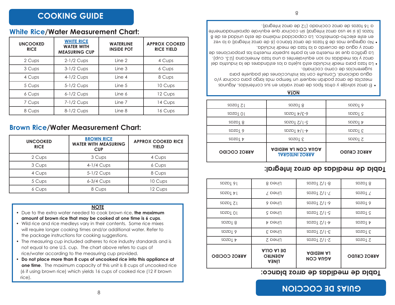## **COINS DE COCCION**

### 8

### rice/water according to the measuring cup provided. • Do not place more than 8 cups of uncooked rice into this appliance at one time. The maximum capacity of this unit is 8 cups of uncooked rice (6 if using brown rice) which yields 16 cups of cooked rice (12 if brown rice).

will require longer cooking times and/or additional water. Refer to the package instructions for cooking suggestions.

• The measuring cup included adheres to rice industry standards and is not equal to one U.S. cup. The chart above refers to cups of

- 
- amount of brown rice that may be cooked at one time is 6 cups.
- Wild rice and rice medleys vary in their contents. Some rice mixes
- 
- Due to the extra water needed to cook brown rice, the maximum
- 6 Cups 8 Cups 12 Cups

### **NOTE**

| n Rice/Water Measurement Chart: |                                                                |                                           |
|---------------------------------|----------------------------------------------------------------|-------------------------------------------|
| <b>UNCOOKED</b><br><b>RICE</b>  | <b>BROWN RICE</b><br><b>WATER WITH MEASURING</b><br><b>CUP</b> | <b>APPROX COOKED RICE</b><br><b>YIELD</b> |
| 2 Cups                          | 3 Cups                                                         | 4 Cups                                    |
| 3 Cups                          | $4-1/4$ Cups                                                   | 6 Cups                                    |
| 4 Cups                          | 5-1/2 Cups                                                     | 8 Cups                                    |
| 5 Cups                          | $6-3/4$ Cups                                                   | 10 Cups                                   |

## **Brown**

| <b>UNCOOKED</b><br><b>RICE</b> | <b>WHITE RICE</b><br><b>WATER WITH</b><br><b>MEASURING CUP</b> | <b>WATERLINE</b><br><b>INSIDE POT</b> | <b>APPROX COOKED</b><br><b>RICE YIELD</b> |
|--------------------------------|----------------------------------------------------------------|---------------------------------------|-------------------------------------------|
| 2 Cups                         | $2-1/2$ Cups                                                   | Line 2                                | 4 Cups                                    |
| 3 Cups                         | 3-1/2 Cups                                                     | Line 3                                | 6 Cups                                    |
| 4 Cups                         | 4-1/2 Cups                                                     | Line 4                                | 8 Cups                                    |
| 5 Cups                         | 5-1/2 Cups                                                     | Line 5                                | 10 Cups                                   |
| 6 Cups                         | $6-1/2$ Cups                                                   | Line 6                                | 12 Cups                                   |
| 7 Cups                         | 7-1/2 Cups                                                     | Line 7                                | 14 Cups                                   |
| 8 Cups                         | 8-1/2 Cups                                                     | Line 8                                | 16 Cups                                   |

## **White Rice/Water Measurement Chart:**

**COOKING GUIDE** 

## Tabla de medidas de arroz blanco:

| <b>ARROZ COCIDO</b>  | <b>AJJO AJ 30</b><br><b>ORTNEQA</b><br><b>LÍNEA</b> | <b>AGIOSM AJ</b><br><b>NOD AUDA</b> | <b>ARROZ CRUDO</b>  |
|----------------------|-----------------------------------------------------|-------------------------------------|---------------------|
| $SDZD1$ $\tau$       | Línea 2                                             | $5-1/5$ Lazas                       | $S$ Lazo            |
| spzp <sub>19</sub>   | Línea 3                                             | $3-1/2$ Lazas                       | $3$ Tazos           |
| spzpT8               | Línea 4                                             | $SDZD1 Z/I - \nabla$                | $SDZD1$ $\tau$      |
| SDZD101              | Linea 5                                             | $S$ Pazol $Z/I$ -S                  | $S$ spzp            |
| SDZD <sub>I</sub> ZI | Linea 6                                             | $SDZD1 Z/I-9$                       | SDZD <sub>19</sub>  |
| $SDZD \mid \nmid$    | Linea 7                                             | $SDZD1 Z/I-Z$                       | $SDZD \perp \angle$ |
| SDZDI 91             | Línea 8                                             | $SDZD1 Z/I - 8$                     | spzpT8              |
|                      |                                                     |                                     |                     |

## Tabla de medidas de arroz integral:

| SDZD Z <br>SDZDI 01 | SDZDI <sub>8</sub><br>$SDZD1 \frac{1}{2}$ / $C-9$  | $SDZD$   9<br>$SDZD \mid G$ |
|---------------------|----------------------------------------------------|-----------------------------|
| SDZD   R            | $SDZD1 Z/I-S$                                      | $SDZD$   $\tau$             |
| $SDZD$   9          | $SDZD_{\perp} \nu / (-\nu)$                        | $SDZD \mid \Sigma$          |
| $SDZD$   $\tau$     | $S$ Lazoz                                          | SDZD1Z                      |
| <b>ARROZ COCIDO</b> | <b>AGIO CON LA MEDIDA</b><br><b>ARROZ INTEGRAL</b> | <b>ARROZ CRUDO</b>          |

### **ATON**

- sugerencias de como cocinario. agua adicional. Consulte con las instrucciones del paquete para wezcją de arroz podran requerir un tiempo mas largo para cocinar y/o • El arroz salvaje y otras fipos de arroz varian en sus contenidos. Algunas
- arroz y agua de acuerdo a la taza de medir incluida. La grafica que se muestra en la parte superior muestra las proporciones de quo .2.0) propriemed bab equivalentes a una taza Americana (U.S. cup). . La taza para medir incluida esta sujeta a los estandares de la industria del
- a 16 tazas de arroz cocinado (12 de arroz integral). tazas (6 si se usa arroz integral) sin cocinar que equivale aproximadamente en este electro-domestico. La capacidad maxima de esta unidad es de 8  $\bullet$  No agregue mas de 8 tazas de arroz blanco (6 de arroz integral) a la vez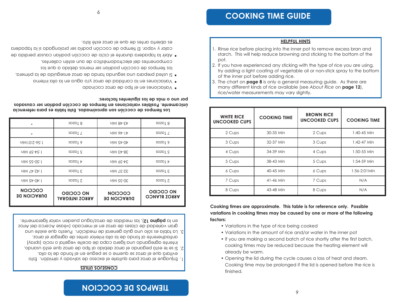## **LIEWLO2 DE COCCION**

### **CONSEJOS UTILES**

- 1. Enjuague el arroz para quitarle el exceso de salvado y almidón. Esto
- 2. Si se le està pegando el arroz debido al tipo de arroz que està usando, evitará que el arroz se queme o se pegue en el tondo de la olla.
- 3. La tabla es solo una guia general de medición. Puesto que existe una antiadherente al tondo de la olla interior antes de agregar el arroz. iutente agregando una ligera capa de aceite vegetal o rocio (spray)
- en la pagina 12), las medidas de arroz/agua pueden variar ligeramente. gran variedad de clases de arroz en el mercado (vease Acerca del Arroz

| <b>COCCION</b><br><b>DURACION DE</b> | <b>NO COCIDO</b><br><b>ARROZ INTEGRAL</b> | <b>COCCION</b><br><b>DURACION DE</b> | <b>NO COCIDO</b><br><b>OONAJ8 SORRA</b> |
|--------------------------------------|-------------------------------------------|--------------------------------------|-----------------------------------------|
| $U(N Sb-0b:1)$                       | $S$ $DZ$                                  | 30-35 Min                            | SDZD1Z                                  |
| UIW <i>L</i> +-Z+:1                  | $3$ Tazos                                 | S2-37 Min                            | $S$ $\Box$                              |
| uiw ss-0s: l                         | SDZD <sub>1</sub> +                       | S4-39 Min                            | SDZD <sub>1</sub> +                     |
| uiw 69-bs: l                         | $S$ spzp                                  | 38-43 Min                            | $SDZD \mid G$                           |
| $U(N10:Z-99:1)$                      | SDZD19                                    | UIW St-0t                            | $SDZD \downarrow 9$                     |
| *                                    | $S$ DZD $I$ $\angle$                      | $U(N) 9\nu$ -[ $\nu$                 | SDZD1 /                                 |
| *                                    | spzpT8                                    | $N/N$ 84- $\epsilon$                 | $SDZD \mid Q$                           |

por uno o más de los siguientes factores: únicamente. Posibles variaciones en tiempos de cocción podrían ser causados ros tiempos de cocciou sou aproximados. Esta tabla es para referencia

- · Variaciones en el tipo de arroz cocinado
- · Variaciones en la cantidad de arroz y/o agua en la olla interna
- · Si usted prepara una segunda tanda de arroz enseguida de la primera,
- componentes del electrodomestico de aun esten calientes. los fiempos de cocciou podrian ser menos debido a que los

6

es apierta antes de que el arroz este listo. calor y vapor. El tiempo de coccion podria ser prolongado si la tapadera • Abrir la tapadera durante el ciclo de cocción podrian causar perdida de

## Cooking time may be prolonged if the lid is opened before the rice is finished.

- cooking times may be reduced because the heating element will already be warm. • Opening the lid during the cycle causes a loss of heat and steam.
- 
- Variations in the amount of rice and/or water in the inner pot
- If you are making a second batch of rice shortly after the first batch,
- 
- 
- 
- factors:
	-
	-
	-
	-
	-
	-
	-
	-
	-

Cooking times are approximate. This table is for reference only. Possible

- 
- Variations in the type of rice being cooked
- 
- variations in cooking times may be caused by one or more of the following

of the inner pot before adding rice.

rice/water measurements may vary slightly.

**COOKING TIME** 

30-35 Min

32-37 Min

34-39 Min

38-43 Min

40-45 Min

41-46 Min

43-48 Min

pot.

**WHITE RICE** 

**UNCOOKED CUPS** 

2 Cups

3 Cups

4 Cups

5 Cups

6 Cups

7 Cups

8 Cups

**HELPFUL HINTS** 

1. Rinse rice before placing into the inner pot to remove excess bran and starch. This will help reduce browning and sticking to the bottom of the

2. If you have experienced any sticking with the type of rice you are using,

3. The chart on page 8 is only a general measuring guide. As there are many different kinds of rice available (see About Rice on page 12),

try adding a light coating of vegetable oil or non-stick spray to the bottom

**BROWN RICE** 

**UNCOOKED CUPS** 

2 Cups

3 Cups

4 Cups

5 Cups

6 Cups

7 Cups

8 Cups

**COOKING TIME** 

1:40-45 Min

1:42-47 Min

 $1:50-55$  Min

1:54-59 Min

1:56-2:01Min

 $N/A$ 

 $N/A$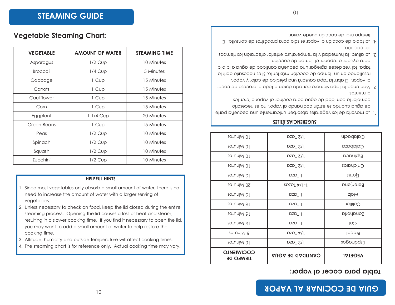## **: lapla** bata cocet al vabot:

| 20 Minutos                            | DZDI 2/1                                   | Calabacín        |
|---------------------------------------|--------------------------------------------|------------------|
| 20 Minutos                            | DZDI 2/1                                   | Calabaza         |
| 20tuniM 01                            | DZDI 2/1                                   | Espinaca         |
| 20tuniM 01                            | $1/2$ Taza                                 | Chicharos        |
| 25 rotunik                            | DZDT 1                                     | zətoj∃           |
| 20 Minutos                            | $SDZD_{\perp}$ $\frac{1}{2}$ $\frac{1}{2}$ | <b>Berenjena</b> |
| 25 Minutos                            | DZDT 1                                     | <b>ZIDM</b>      |
| 20 Minutos                            | DZDI 1                                     | Coliflor         |
| 20 Rinuiw                             | DZDI 1                                     | Dinonons         |
| 25 Minutos                            | DZDI 1                                     | COI              |
| sotuniM &                             | DZDI $\frac{1}{2}$                         | Brocoli          |
| 20tuniM 01                            | DZDI 2/1                                   | Espárragos       |
| <b>COCIMIENIO</b><br><b>TIEWPO DE</b> | <b>CANTIDAD DE AGUA</b>                    | <b>VEGETAL</b>   |

### **SUGERENCIAS UTILES**

- l. La mayoria de los vegetales absorben unicamente una pequeria parte de agua cuando se están cocinando al vapor, no es necesario cawpiar la cantidad de agua para cocinar al vapor diterentes .sotnemilb
- 2. Mantenga la tapa siempre cerrada durante todo el proceso de cocer al vapor. El abrir la tapa causara una perdida de calor y vapor, resultando en un fiempo de cocción más lento. Si es necesario abrir la tapa, tal vez desee agregar una pequeña cantidad de agua a la olla
- baia ayudar a reponer el tiempo de coccion. 3. La altura, la humedad y la temperatura exterior atectaran los tiempos
- de coccion. 4. La tabla de coccion al vapor es solo para propositos de consulta. El tiempo real de cocción puede variar.

## **Vegetable Steaming Chart:**

| <b>VEGETABLE</b> | <b>AMOUNT OF WATER</b> | <b>STEAMING TIME</b> |
|------------------|------------------------|----------------------|
| Asparagus        | $1/2$ Cup              | 10 Minutes           |
| <b>Broccoli</b>  | $1/4$ Cup              | 5 Minutes            |
| Cabbage          | 1 Cup                  | 15 Minutes           |
| Carrots          | 1 Cup                  | 15 Minutes           |
| Cauliflower      | 1 Cup                  | 15 Minutes           |
| Corn             | 1 Cup                  | 15 Minutes           |
| Eggplant         | $1-1/4$ Cup            | 20 Minutes           |
| Green Beans      | 1 Cup                  | 15 Minutes           |
| Peas             | $1/2$ Cup              | 10 Minutes           |
| Spinach          | $1/2$ Cup              | 10 Minutes           |
| Squash           | $1/2$ Cup              | 10 Minutes           |
| Zucchini         | $1/2$ Cup              | 10 Minutes           |

### **HELPFUL HINTS**

- 1. Since most vegetables only absorb a small amount of water, there is no need to increase the amount of water with a larger serving of vegetables.
- 2. Unless necessary to check on food, keep the lid closed during the entire steaming process. Opening the lid causes a loss of heat and steam, resulting in a slower cooking time. If you find it necessary to open the lid, you may want to add a small amount of water to help restore the cooking time.
- 3. Altitude, humidity and outside temperature will affect cooking times.
- 4. The steaming chart is for reference only. Actual cooking time may vary.

10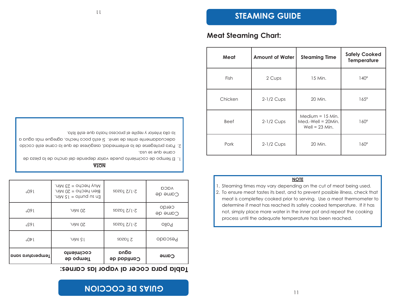## **: <sup>s</sup> enr acs al r opavl ar ecoc ar ap al baT**

| .09 l            | Muy hecho = 23 Min.<br>Bien hecho = 20 Min.<br>$U = 0$ of DOM $\epsilon$ | $5-1/5$ Lazaz       | <b>AQCQ</b><br>Carne de |
|------------------|--------------------------------------------------------------------------|---------------------|-------------------------|
| 09l              | .nim 0S                                                                  | $SDZD1 Z/I-Z$       | cerdo<br>Carne de       |
| ہ 9 So           | .nim 0S                                                                  | $SDZD1 Z/I-Z$       | Pollo                   |
| 00/1             | .uiM cT                                                                  | SDZD1Z              | Pescado                 |
| Temperatura sana | cocimiento<br><b>Jiempo de</b>                                           | adna<br>Cantidad de | Carne                   |

### **AT ON**

- l. El tiempo de cocimiento puede variar depende del ancho de la pieza de
- cawe dne ze nza<sup>.</sup>
- 2. Para protegerse de la enfermedad, asegúrese de que la carne esté cocido adecuadamente antes de servir. Si està poco hecho, agregue más agua a

la olla interior y repite el proceso hasta que esté lista.

|  |  |  | Meat Steaming Chart: |
|--|--|--|----------------------|
|--|--|--|----------------------|

| Meat        | <b>Amount of Water</b> | <b>Steaming Time</b>                                           | <b>Safely Cooked</b><br>Temperature |
|-------------|------------------------|----------------------------------------------------------------|-------------------------------------|
| <b>Fish</b> | 2 Cups                 | 15 Min.                                                        | $140^\circ$                         |
| Chicken     | 2-1/2 Cups             | 20 Min.                                                        | $165^\circ$                         |
| <b>Beef</b> | $2-1/2$ Cups           | Medium $= 15$ Min.<br>$Med.-Well = 20Min.$<br>Well = $23$ Min. | $160^\circ$                         |
| Pork        | $2-1/2$ Cups           | 20 Min.                                                        | $160^\circ$                         |

### **NOTE**

| .                                                                              |
|--------------------------------------------------------------------------------|
| 1. Steaming times may vary depending on the cut of meat being used.            |
| 2. To ensure meat tastes its best, and to prevent possible illness, check that |
| meat is completley cooked prior to serving. Use a meat thermometer to          |
| determine if meat has reached its safely cooked temperature. If it has         |

not, simply place more water in the inner pot and repeat the cooking

process until the adequate temperature has been reached.

| Beef | $2-1/2$ Cups | $IVICUUUII = IUIVIII$<br>$Med.-Well = 20Min.$<br>$Well = 23 Min.$ | $160^\circ$ |
|------|--------------|-------------------------------------------------------------------|-------------|
| Pork | $2-1/2$ Cups | 20 Min.                                                           | $160^\circ$ |
|      |              |                                                                   |             |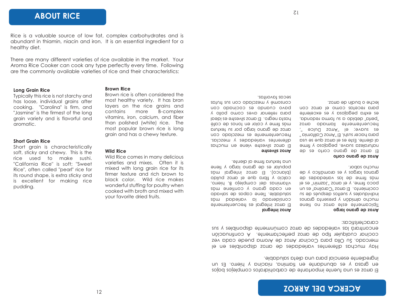## **ACERCA DEL ARROZ**

FI alros es una fuente importante de carbohidratos complejos bajos en grasa y es apnugante en tiamina, niacina y hierro. Es un ingrediente esencial para una dieta saludable.

Hay muchas diferentes variedades de arros aisponibles en el mercado. Su Ulla para Cocinar Arroz de Aroma puede cada vez cocinar cualquier tipo de arroz pertectamente. A continuacion s is a sensible and so who expedience a computer and disponsibles  $\lambda$  and caracteristicas:

*Arroz integral* 

**extra s s z ord z p z p z p z p z p z p z p z p z p z p z p d p d p d p d p d p d p d p d p d p d p d p d p d p d**

. *cothovat* aces

El arroz integral es trecuentemente considerado la variedad màs saludable. Itene capas de salvado en caqa diano *l* confiene mas vitaminas del complejo B, hierro, calcio  $\lambda$  tip a dne el arroz pulido  $(p | q)$   $E | q$  arroz  $p$  integral mas bobnjar es de grano largo y tiene

El arroz silvestre viene en muchas alterentes variedades y mezclas. Frecuentemente es mezclado con arroz de grano largo por su textura mas tirme y color en tonos de cate hasta negro. El arroz silvestre es ideal bata rellenar aves como pollo y hoc cocinato ez cocinado cou couzoure  $\lambda$  uresclage con ans trutas

. et nei die di diente.

**b** alcoxy de grano largo Fipicamente este arroz no fiene souppid y presenta grands us ep sendsep soțiens A sejpnpivipui cocimiento. El arroz "Carolina" es un le se "nims, y el anos" zonin" es el ed sebabeirov zol eb emit som dianos largos y es aromático y de mucho sabor.

### **Arroz** de grano corto

El arroz de grano corto es de naturaleza suave, pegajoso y tirme al diente. Este es el arroz que se usa para hacer sushi. El "Arroz Calitornia" es suave; el "Arroz Dulce trecuentemente llamado arroz bella" debido a su torma redonda, et extra bedaloza  $\lambda$  et exceleute bara recetas como el arroz con leche o budin de arroz.

## **ABOUT RICE**

Rice is a valuable source of low fat, complex carbohydrates and is abundant in thiamin, niacin and iron. It is an essential ingredient for a healthy diet.

There are many different varieties of rice available in the market. Your Aroma Rice Cooker can cook any type perfectly every time. Following are the commonly available varieties of rice and their characteristics:

12

### **Long Grain Rice**

Typically this rice is not starchy and has loose, individual grains after cooking. "Carolina" is firm, and "Jasmine" is the firmest of the long grain variety and is flavorful and aromatic.

### **Short Grain Rice**

Short grain is characteristically soft, sticky and chewy. This is the rice used to make sushi. "California Rice" is soft; "Sweet Rice", often called "pearl" rice for its round shape, is extra sticky and is excellent for making rice pudding.

Brown rice is often considered the most healthy variety. It has bran layers on the rice grains and contains more B-complex vitamins, iron, calcium, and fiber than polished (white) rice. The most popular brown rice is long grain and has a chewy texture.

Wild Rice comes in many delicious varieties and mixes. Often it is mixed with long grain rice for its firmer texture and rich brown to black color. Wild rice makes wonderful stuffing for poultry when cooked with broth and mixed with

your favorite dried fruits.

**Brown Rice**

**Wild Rice**

 $\overline{c}$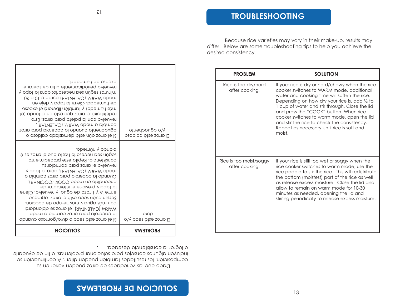a lograr la consistencia deseada. jucin Neu alanuos couselos bata soluciouar problemas, a fin de ayudarle composición, los resultados también pueden diferir. A continuación se Dado que las variedades de arroz pueden variar en su

| Si el arroz está seco o duro/gomoso cuando                                                                                                                                                                                                                                                                                                                                                                                                                                                                                                   |                                        |
|----------------------------------------------------------------------------------------------------------------------------------------------------------------------------------------------------------------------------------------------------------------------------------------------------------------------------------------------------------------------------------------------------------------------------------------------------------------------------------------------------------------------------------------------|----------------------------------------|
| obemún y obnold.<br>según sea necesario hasta que el arroz esté<br>consistencia. Repita este procedimiento<br>revuelva el arroz para controlar su<br>Y pqpt bl brid (CALENTAR), abra la tapa y<br>Cuando la cacerola para arroz cambia a<br>encendido en modo COOK (COCINAR).<br>la tapa y presione el interruptor de<br>entre 1/2 y 1 taza de agua, y revuelva. Cierre<br>Según cuán seco esté el arroz, agregue<br>con más agua y más tiempo de cocción.<br>MARM (CALENTAR), el arroz se ablandará<br>la cacerola para arroz cambia a modo | .o1Ub<br>El arroz está seco y/o        |
| excezo qe pnweqaq<br>revuelva periódicamente a fin de liberar el<br>minutos según sea necesario; abra la tapa y<br>08 p 01 stroup (SALENTAR) durante 10 a 30<br>de humedad. Cierre la tapa y deje en<br>oseoxe le prinsell néidmpt y (obemud abreso<br>le) obnot le ne òtze eup sono le biudintaiben<br>revuelva con la paleta para arroz. Esto<br>cambia a modo WARM (CALENTAR),<br>aguachento cuando la cacerola para arroz<br>o osobloo obbizomeb òtze nùo somo le i2                                                                     | No adnacyeujo<br>El arroz está caldoso |

| <b>PROBLEM</b>                            | <b>SOLUTION</b>                                                                                                                                                                                                                                                                                                                                                                                                                               |
|-------------------------------------------|-----------------------------------------------------------------------------------------------------------------------------------------------------------------------------------------------------------------------------------------------------------------------------------------------------------------------------------------------------------------------------------------------------------------------------------------------|
| Rice is too dry/hard<br>after cooking.    | If your rice is dry or hard/chewy when the rice<br>cooker switches to WARM mode, additional<br>water and cooking time will soften the rice.<br>Depending on how dry your rice is, add 1/2 to<br>1 cup of water and stir through. Close the lid<br>and press the "COOK" button. When rice<br>cooker switches to warm mode, open the lid<br>and stir the rice to check the consistency.<br>Repeat as necessary until rice is soft and<br>moist. |
| Rice is too moist/soggy<br>after cooking. | If your rice is still too wet or soggy when the<br>rice cooker switches to warm mode, use the<br>rice paddle to stir the rice. This will redistribute<br>the bottom (moistest) part of the rice as well<br>as release excess moisture. Close the lid and<br>allow to remain on warm mode for 10-30<br>minutes as needed, opening the lid and<br>stirring periodically to release excess moisture.                                             |

 $13$ 

Because rice varieties may vary in their make-up, results may differ. Below are some troubleshooting tips to help you achieve the desired consistency.